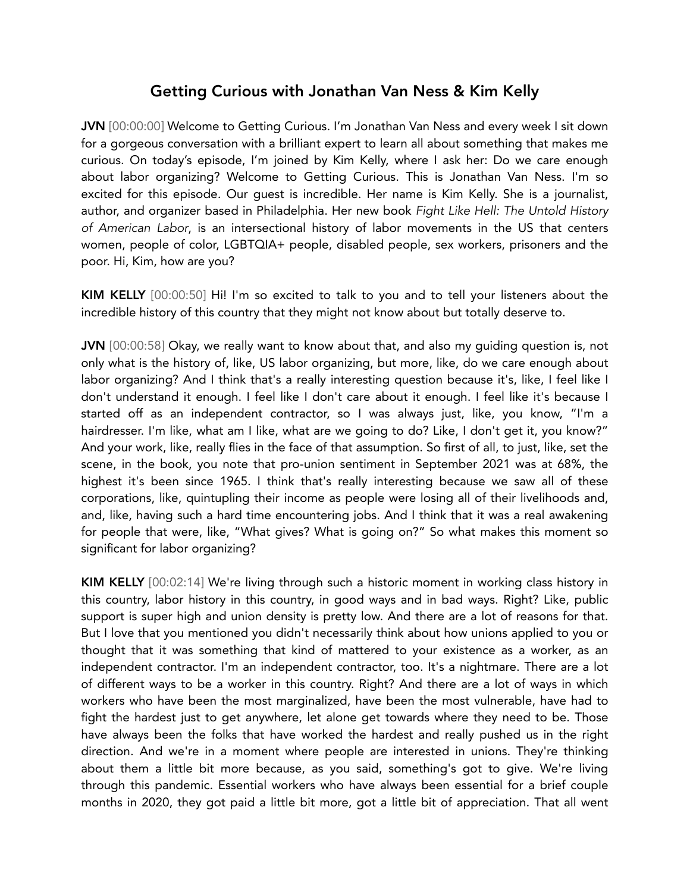## Getting Curious with Jonathan Van Ness & Kim Kelly

JVN [00:00:00] Welcome to Getting Curious. I'm Jonathan Van Ness and every week I sit down for a gorgeous conversation with a brilliant expert to learn all about something that makes me curious. On today's episode, I'm joined by Kim Kelly, where I ask her: Do we care enough about labor organizing? Welcome to Getting Curious. This is Jonathan Van Ness. I'm so excited for this episode. Our guest is incredible. Her name is Kim Kelly. She is a journalist, author, and organizer based in Philadelphia. Her new book *Fight Like Hell: The Untold History of American Labor*, is an intersectional history of labor movements in the US that centers women, people of color, LGBTQIA+ people, disabled people, sex workers, prisoners and the poor. Hi, Kim, how are you?

KIM KELLY [00:00:50] Hi! I'm so excited to talk to you and to tell your listeners about the incredible history of this country that they might not know about but totally deserve to.

JVN [00:00:58] Okay, we really want to know about that, and also my guiding question is, not only what is the history of, like, US labor organizing, but more, like, do we care enough about labor organizing? And I think that's a really interesting question because it's, like, I feel like I don't understand it enough. I feel like I don't care about it enough. I feel like it's because I started off as an independent contractor, so I was always just, like, you know, "I'm a hairdresser. I'm like, what am I like, what are we going to do? Like, I don't get it, you know?" And your work, like, really flies in the face of that assumption. So first of all, to just, like, set the scene, in the book, you note that pro-union sentiment in September 2021 was at 68%, the highest it's been since 1965. I think that's really interesting because we saw all of these corporations, like, quintupling their income as people were losing all of their livelihoods and, and, like, having such a hard time encountering jobs. And I think that it was a real awakening for people that were, like, "What gives? What is going on?" So what makes this moment so significant for labor organizing?

KIM KELLY [00:02:14] We're living through such a historic moment in working class history in this country, labor history in this country, in good ways and in bad ways. Right? Like, public support is super high and union density is pretty low. And there are a lot of reasons for that. But I love that you mentioned you didn't necessarily think about how unions applied to you or thought that it was something that kind of mattered to your existence as a worker, as an independent contractor. I'm an independent contractor, too. It's a nightmare. There are a lot of different ways to be a worker in this country. Right? And there are a lot of ways in which workers who have been the most marginalized, have been the most vulnerable, have had to fight the hardest just to get anywhere, let alone get towards where they need to be. Those have always been the folks that have worked the hardest and really pushed us in the right direction. And we're in a moment where people are interested in unions. They're thinking about them a little bit more because, as you said, something's got to give. We're living through this pandemic. Essential workers who have always been essential for a brief couple months in 2020, they got paid a little bit more, got a little bit of appreciation. That all went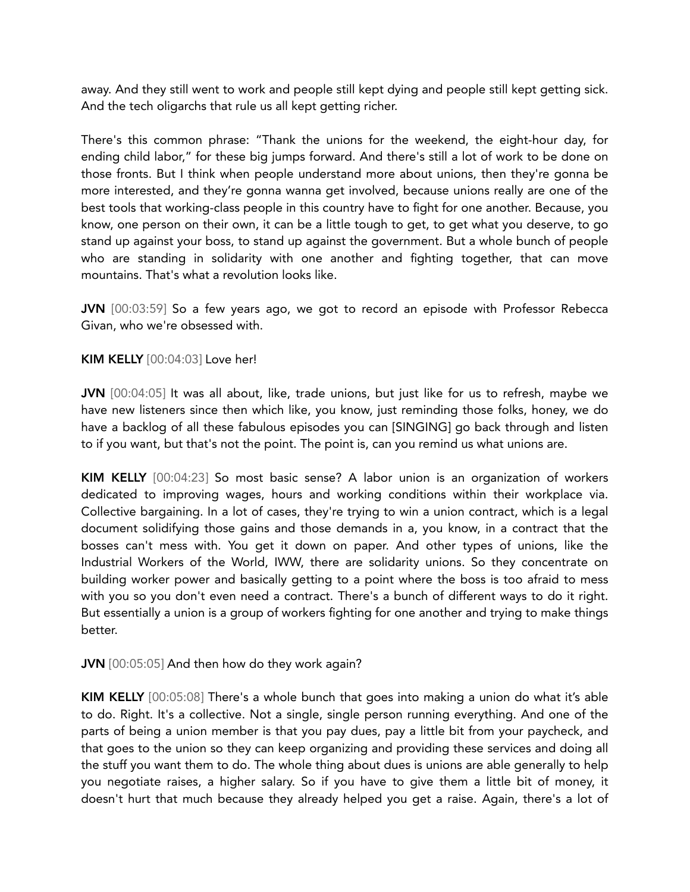away. And they still went to work and people still kept dying and people still kept getting sick. And the tech oligarchs that rule us all kept getting richer.

There's this common phrase: "Thank the unions for the weekend, the eight-hour day, for ending child labor," for these big jumps forward. And there's still a lot of work to be done on those fronts. But I think when people understand more about unions, then they're gonna be more interested, and they're gonna wanna get involved, because unions really are one of the best tools that working-class people in this country have to fight for one another. Because, you know, one person on their own, it can be a little tough to get, to get what you deserve, to go stand up against your boss, to stand up against the government. But a whole bunch of people who are standing in solidarity with one another and fighting together, that can move mountains. That's what a revolution looks like.

JVN [00:03:59] So a few years ago, we got to record an episode with Professor Rebecca Givan, who we're obsessed with.

## KIM KELLY [00:04:03] Love her!

JVN [00:04:05] It was all about, like, trade unions, but just like for us to refresh, maybe we have new listeners since then which like, you know, just reminding those folks, honey, we do have a backlog of all these fabulous episodes you can [SINGING] go back through and listen to if you want, but that's not the point. The point is, can you remind us what unions are.

KIM KELLY [00:04:23] So most basic sense? A labor union is an organization of workers dedicated to improving wages, hours and working conditions within their workplace via. Collective bargaining. In a lot of cases, they're trying to win a union contract, which is a legal document solidifying those gains and those demands in a, you know, in a contract that the bosses can't mess with. You get it down on paper. And other types of unions, like the Industrial Workers of the World, IWW, there are solidarity unions. So they concentrate on building worker power and basically getting to a point where the boss is too afraid to mess with you so you don't even need a contract. There's a bunch of different ways to do it right. But essentially a union is a group of workers fighting for one another and trying to make things better.

JVN [00:05:05] And then how do they work again?

KIM KELLY [00:05:08] There's a whole bunch that goes into making a union do what it's able to do. Right. It's a collective. Not a single, single person running everything. And one of the parts of being a union member is that you pay dues, pay a little bit from your paycheck, and that goes to the union so they can keep organizing and providing these services and doing all the stuff you want them to do. The whole thing about dues is unions are able generally to help you negotiate raises, a higher salary. So if you have to give them a little bit of money, it doesn't hurt that much because they already helped you get a raise. Again, there's a lot of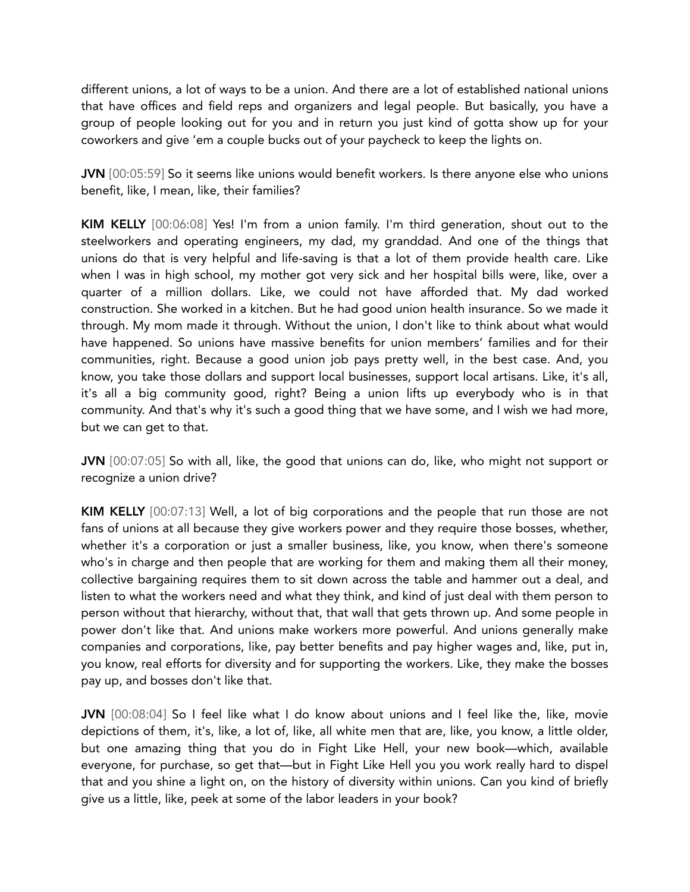different unions, a lot of ways to be a union. And there are a lot of established national unions that have offices and field reps and organizers and legal people. But basically, you have a group of people looking out for you and in return you just kind of gotta show up for your coworkers and give 'em a couple bucks out of your paycheck to keep the lights on.

JVN [00:05:59] So it seems like unions would benefit workers. Is there anyone else who unions benefit, like, I mean, like, their families?

KIM KELLY [00:06:08] Yes! I'm from a union family. I'm third generation, shout out to the steelworkers and operating engineers, my dad, my granddad. And one of the things that unions do that is very helpful and life-saving is that a lot of them provide health care. Like when I was in high school, my mother got very sick and her hospital bills were, like, over a quarter of a million dollars. Like, we could not have afforded that. My dad worked construction. She worked in a kitchen. But he had good union health insurance. So we made it through. My mom made it through. Without the union, I don't like to think about what would have happened. So unions have massive benefits for union members' families and for their communities, right. Because a good union job pays pretty well, in the best case. And, you know, you take those dollars and support local businesses, support local artisans. Like, it's all, it's all a big community good, right? Being a union lifts up everybody who is in that community. And that's why it's such a good thing that we have some, and I wish we had more, but we can get to that.

JVN [00:07:05] So with all, like, the good that unions can do, like, who might not support or recognize a union drive?

KIM KELLY [00:07:13] Well, a lot of big corporations and the people that run those are not fans of unions at all because they give workers power and they require those bosses, whether, whether it's a corporation or just a smaller business, like, you know, when there's someone who's in charge and then people that are working for them and making them all their money, collective bargaining requires them to sit down across the table and hammer out a deal, and listen to what the workers need and what they think, and kind of just deal with them person to person without that hierarchy, without that, that wall that gets thrown up. And some people in power don't like that. And unions make workers more powerful. And unions generally make companies and corporations, like, pay better benefits and pay higher wages and, like, put in, you know, real efforts for diversity and for supporting the workers. Like, they make the bosses pay up, and bosses don't like that.

JVN [00:08:04] So I feel like what I do know about unions and I feel like the, like, movie depictions of them, it's, like, a lot of, like, all white men that are, like, you know, a little older, but one amazing thing that you do in Fight Like Hell, your new book—which, available everyone, for purchase, so get that—but in Fight Like Hell you you work really hard to dispel that and you shine a light on, on the history of diversity within unions. Can you kind of briefly give us a little, like, peek at some of the labor leaders in your book?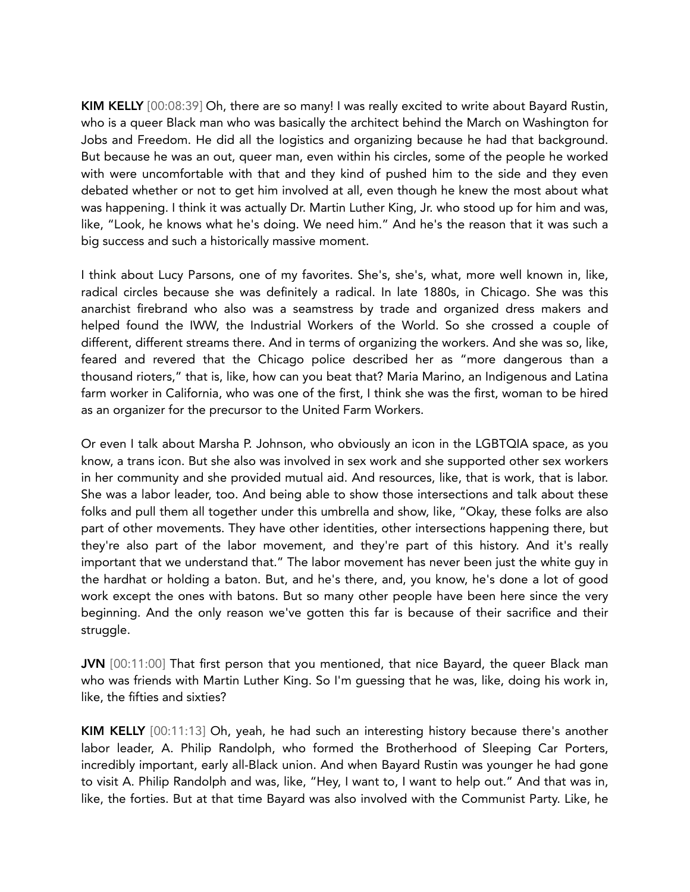KIM KELLY [00:08:39] Oh, there are so many! I was really excited to write about Bayard Rustin, who is a queer Black man who was basically the architect behind the March on Washington for Jobs and Freedom. He did all the logistics and organizing because he had that background. But because he was an out, queer man, even within his circles, some of the people he worked with were uncomfortable with that and they kind of pushed him to the side and they even debated whether or not to get him involved at all, even though he knew the most about what was happening. I think it was actually Dr. Martin Luther King, Jr. who stood up for him and was, like, "Look, he knows what he's doing. We need him." And he's the reason that it was such a big success and such a historically massive moment.

I think about Lucy Parsons, one of my favorites. She's, she's, what, more well known in, like, radical circles because she was definitely a radical. In late 1880s, in Chicago. She was this anarchist firebrand who also was a seamstress by trade and organized dress makers and helped found the IWW, the Industrial Workers of the World. So she crossed a couple of different, different streams there. And in terms of organizing the workers. And she was so, like, feared and revered that the Chicago police described her as "more dangerous than a thousand rioters," that is, like, how can you beat that? Maria Marino, an Indigenous and Latina farm worker in California, who was one of the first, I think she was the first, woman to be hired as an organizer for the precursor to the United Farm Workers.

Or even I talk about Marsha P. Johnson, who obviously an icon in the LGBTQIA space, as you know, a trans icon. But she also was involved in sex work and she supported other sex workers in her community and she provided mutual aid. And resources, like, that is work, that is labor. She was a labor leader, too. And being able to show those intersections and talk about these folks and pull them all together under this umbrella and show, like, "Okay, these folks are also part of other movements. They have other identities, other intersections happening there, but they're also part of the labor movement, and they're part of this history. And it's really important that we understand that." The labor movement has never been just the white guy in the hardhat or holding a baton. But, and he's there, and, you know, he's done a lot of good work except the ones with batons. But so many other people have been here since the very beginning. And the only reason we've gotten this far is because of their sacrifice and their struggle.

JVN [00:11:00] That first person that you mentioned, that nice Bayard, the queer Black man who was friends with Martin Luther King. So I'm guessing that he was, like, doing his work in, like, the fifties and sixties?

KIM KELLY [00:11:13] Oh, yeah, he had such an interesting history because there's another labor leader, A. Philip Randolph, who formed the Brotherhood of Sleeping Car Porters, incredibly important, early all-Black union. And when Bayard Rustin was younger he had gone to visit A. Philip Randolph and was, like, "Hey, I want to, I want to help out." And that was in, like, the forties. But at that time Bayard was also involved with the Communist Party. Like, he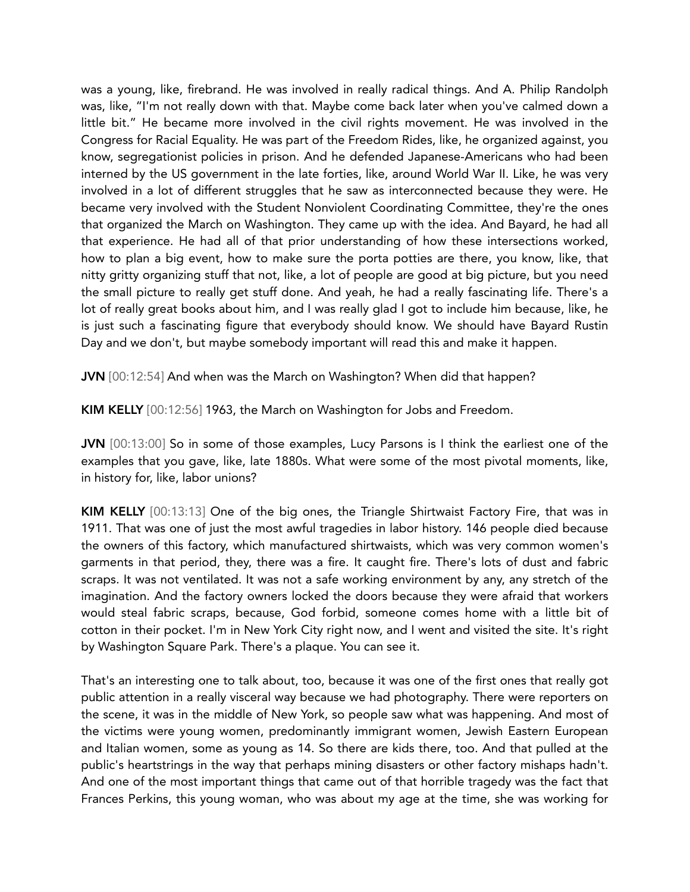was a young, like, firebrand. He was involved in really radical things. And A. Philip Randolph was, like, "I'm not really down with that. Maybe come back later when you've calmed down a little bit." He became more involved in the civil rights movement. He was involved in the Congress for Racial Equality. He was part of the Freedom Rides, like, he organized against, you know, segregationist policies in prison. And he defended Japanese-Americans who had been interned by the US government in the late forties, like, around World War II. Like, he was very involved in a lot of different struggles that he saw as interconnected because they were. He became very involved with the Student Nonviolent Coordinating Committee, they're the ones that organized the March on Washington. They came up with the idea. And Bayard, he had all that experience. He had all of that prior understanding of how these intersections worked, how to plan a big event, how to make sure the porta potties are there, you know, like, that nitty gritty organizing stuff that not, like, a lot of people are good at big picture, but you need the small picture to really get stuff done. And yeah, he had a really fascinating life. There's a lot of really great books about him, and I was really glad I got to include him because, like, he is just such a fascinating figure that everybody should know. We should have Bayard Rustin Day and we don't, but maybe somebody important will read this and make it happen.

JVN [00:12:54] And when was the March on Washington? When did that happen?

KIM KELLY [00:12:56] 1963, the March on Washington for Jobs and Freedom.

JVN [00:13:00] So in some of those examples, Lucy Parsons is I think the earliest one of the examples that you gave, like, late 1880s. What were some of the most pivotal moments, like, in history for, like, labor unions?

KIM KELLY [00:13:13] One of the big ones, the Triangle Shirtwaist Factory Fire, that was in 1911. That was one of just the most awful tragedies in labor history. 146 people died because the owners of this factory, which manufactured shirtwaists, which was very common women's garments in that period, they, there was a fire. It caught fire. There's lots of dust and fabric scraps. It was not ventilated. It was not a safe working environment by any, any stretch of the imagination. And the factory owners locked the doors because they were afraid that workers would steal fabric scraps, because, God forbid, someone comes home with a little bit of cotton in their pocket. I'm in New York City right now, and I went and visited the site. It's right by Washington Square Park. There's a plaque. You can see it.

That's an interesting one to talk about, too, because it was one of the first ones that really got public attention in a really visceral way because we had photography. There were reporters on the scene, it was in the middle of New York, so people saw what was happening. And most of the victims were young women, predominantly immigrant women, Jewish Eastern European and Italian women, some as young as 14. So there are kids there, too. And that pulled at the public's heartstrings in the way that perhaps mining disasters or other factory mishaps hadn't. And one of the most important things that came out of that horrible tragedy was the fact that Frances Perkins, this young woman, who was about my age at the time, she was working for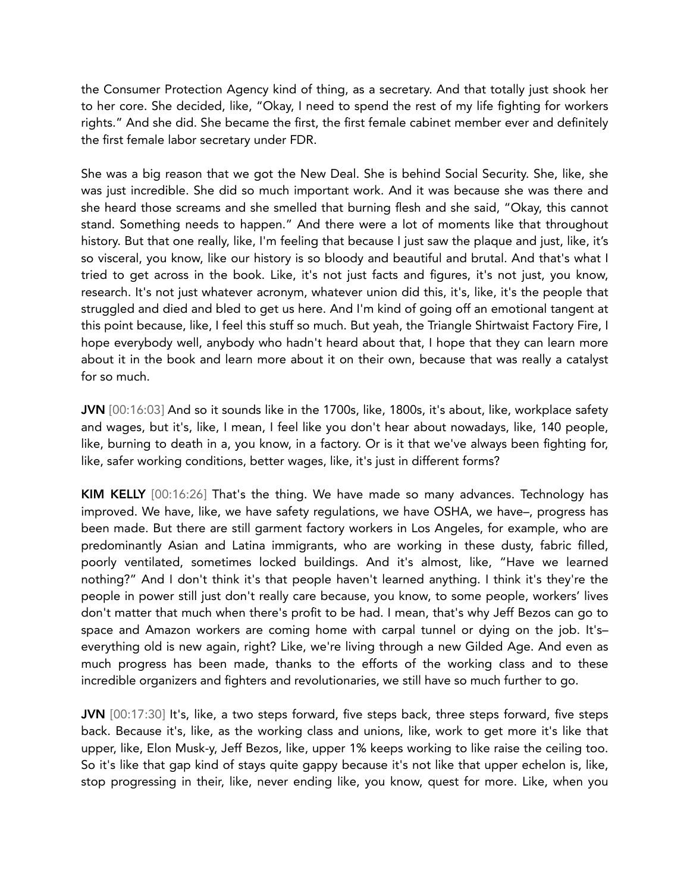the Consumer Protection Agency kind of thing, as a secretary. And that totally just shook her to her core. She decided, like, "Okay, I need to spend the rest of my life fighting for workers rights." And she did. She became the first, the first female cabinet member ever and definitely the first female labor secretary under FDR.

She was a big reason that we got the New Deal. She is behind Social Security. She, like, she was just incredible. She did so much important work. And it was because she was there and she heard those screams and she smelled that burning flesh and she said, "Okay, this cannot stand. Something needs to happen." And there were a lot of moments like that throughout history. But that one really, like, I'm feeling that because I just saw the plaque and just, like, it's so visceral, you know, like our history is so bloody and beautiful and brutal. And that's what I tried to get across in the book. Like, it's not just facts and figures, it's not just, you know, research. It's not just whatever acronym, whatever union did this, it's, like, it's the people that struggled and died and bled to get us here. And I'm kind of going off an emotional tangent at this point because, like, I feel this stuff so much. But yeah, the Triangle Shirtwaist Factory Fire, I hope everybody well, anybody who hadn't heard about that, I hope that they can learn more about it in the book and learn more about it on their own, because that was really a catalyst for so much.

JVN [00:16:03] And so it sounds like in the 1700s, like, 1800s, it's about, like, workplace safety and wages, but it's, like, I mean, I feel like you don't hear about nowadays, like, 140 people, like, burning to death in a, you know, in a factory. Or is it that we've always been fighting for, like, safer working conditions, better wages, like, it's just in different forms?

KIM KELLY [00:16:26] That's the thing. We have made so many advances. Technology has improved. We have, like, we have safety regulations, we have OSHA, we have–, progress has been made. But there are still garment factory workers in Los Angeles, for example, who are predominantly Asian and Latina immigrants, who are working in these dusty, fabric filled, poorly ventilated, sometimes locked buildings. And it's almost, like, "Have we learned nothing?" And I don't think it's that people haven't learned anything. I think it's they're the people in power still just don't really care because, you know, to some people, workers' lives don't matter that much when there's profit to be had. I mean, that's why Jeff Bezos can go to space and Amazon workers are coming home with carpal tunnel or dying on the job. It's– everything old is new again, right? Like, we're living through a new Gilded Age. And even as much progress has been made, thanks to the efforts of the working class and to these incredible organizers and fighters and revolutionaries, we still have so much further to go.

JVN [00:17:30] It's, like, a two steps forward, five steps back, three steps forward, five steps back. Because it's, like, as the working class and unions, like, work to get more it's like that upper, like, Elon Musk-y, Jeff Bezos, like, upper 1% keeps working to like raise the ceiling too. So it's like that gap kind of stays quite gappy because it's not like that upper echelon is, like, stop progressing in their, like, never ending like, you know, quest for more. Like, when you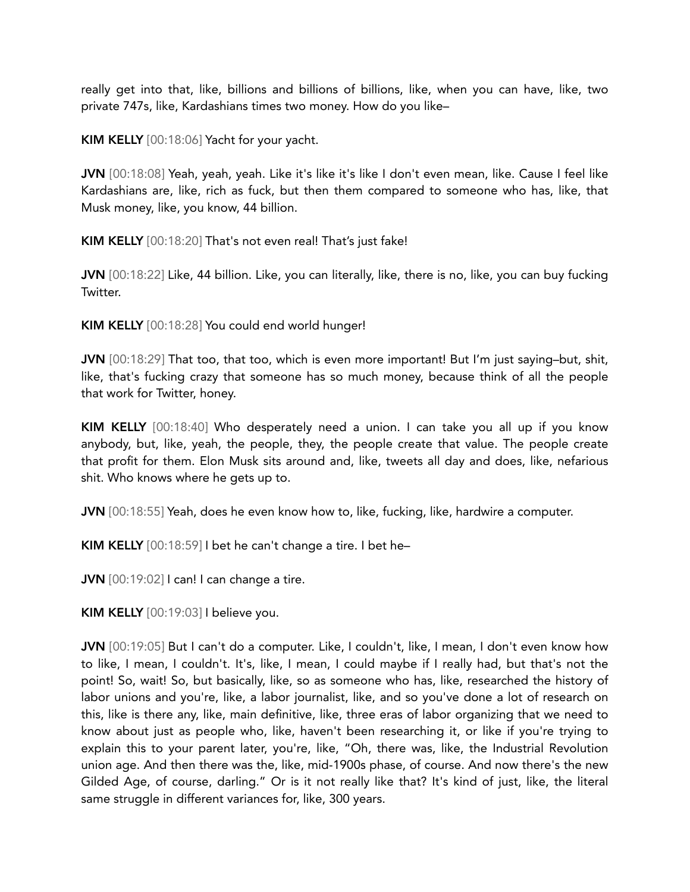really get into that, like, billions and billions of billions, like, when you can have, like, two private 747s, like, Kardashians times two money. How do you like–

KIM KELLY [00:18:06] Yacht for your yacht.

JVN [00:18:08] Yeah, yeah, yeah. Like it's like it's like I don't even mean, like. Cause I feel like Kardashians are, like, rich as fuck, but then them compared to someone who has, like, that Musk money, like, you know, 44 billion.

KIM KELLY [00:18:20] That's not even real! That's just fake!

JVN [00:18:22] Like, 44 billion. Like, you can literally, like, there is no, like, you can buy fucking Twitter.

KIM KELLY [00:18:28] You could end world hunger!

JVN [00:18:29] That too, that too, which is even more important! But I'm just saying-but, shit, like, that's fucking crazy that someone has so much money, because think of all the people that work for Twitter, honey.

KIM KELLY [00:18:40] Who desperately need a union. I can take you all up if you know anybody, but, like, yeah, the people, they, the people create that value. The people create that profit for them. Elon Musk sits around and, like, tweets all day and does, like, nefarious shit. Who knows where he gets up to.

JVN [00:18:55] Yeah, does he even know how to, like, fucking, like, hardwire a computer.

KIM KELLY [00:18:59] I bet he can't change a tire. I bet he–

JVN [00:19:02] I can! I can change a tire.

KIM KELLY [00:19:03] I believe you.

JVN [00:19:05] But I can't do a computer. Like, I couldn't, like, I mean, I don't even know how to like, I mean, I couldn't. It's, like, I mean, I could maybe if I really had, but that's not the point! So, wait! So, but basically, like, so as someone who has, like, researched the history of labor unions and you're, like, a labor journalist, like, and so you've done a lot of research on this, like is there any, like, main definitive, like, three eras of labor organizing that we need to know about just as people who, like, haven't been researching it, or like if you're trying to explain this to your parent later, you're, like, "Oh, there was, like, the Industrial Revolution union age. And then there was the, like, mid-1900s phase, of course. And now there's the new Gilded Age, of course, darling." Or is it not really like that? It's kind of just, like, the literal same struggle in different variances for, like, 300 years.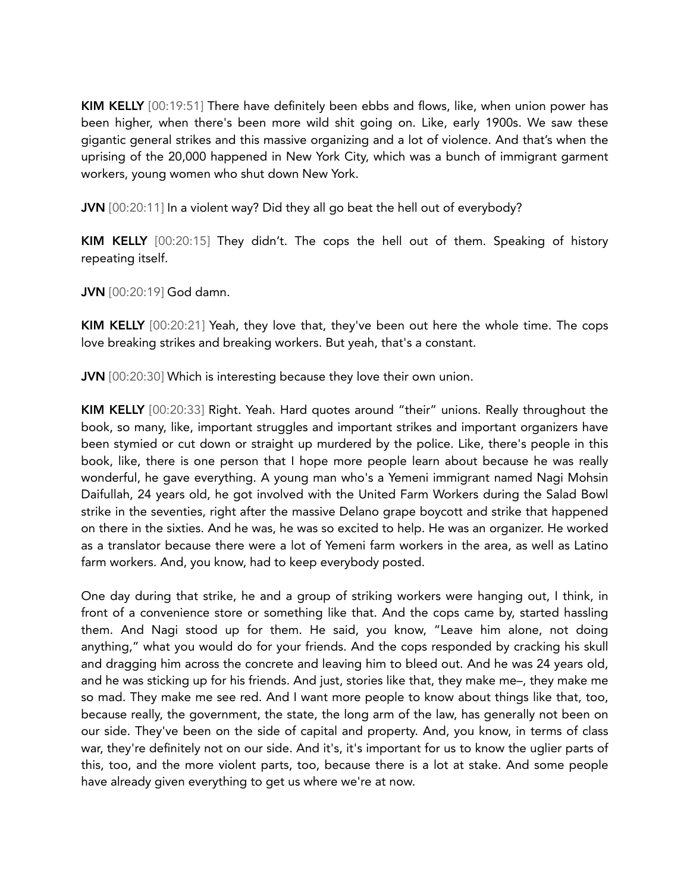KIM KELLY [00:19:51] There have definitely been ebbs and flows, like, when union power has been higher, when there's been more wild shit going on. Like, early 1900s. We saw these gigantic general strikes and this massive organizing and a lot of violence. And that's when the uprising of the 20,000 happened in New York City, which was a bunch of immigrant garment workers, young women who shut down New York.

JVN [00:20:11] In a violent way? Did they all go beat the hell out of everybody?

KIM KELLY [00:20:15] They didn't. The cops the hell out of them. Speaking of history repeating itself.

JVN [00:20:19] God damn.

KIM KELLY [00:20:21] Yeah, they love that, they've been out here the whole time. The cops love breaking strikes and breaking workers. But yeah, that's a constant.

JVN [00:20:30] Which is interesting because they love their own union.

KIM KELLY [00:20:33] Right. Yeah. Hard quotes around "their" unions. Really throughout the book, so many, like, important struggles and important strikes and important organizers have been stymied or cut down or straight up murdered by the police. Like, there's people in this book, like, there is one person that I hope more people learn about because he was really wonderful, he gave everything. A young man who's a Yemeni immigrant named Nagi Mohsin Daifullah, 24 years old, he got involved with the United Farm Workers during the Salad Bowl strike in the seventies, right after the massive Delano grape boycott and strike that happened on there in the sixties. And he was, he was so excited to help. He was an organizer. He worked as a translator because there were a lot of Yemeni farm workers in the area, as well as Latino farm workers. And, you know, had to keep everybody posted.

One day during that strike, he and a group of striking workers were hanging out, I think, in front of a convenience store or something like that. And the cops came by, started hassling them. And Nagi stood up for them. He said, you know, "Leave him alone, not doing anything," what you would do for your friends. And the cops responded by cracking his skull and dragging him across the concrete and leaving him to bleed out. And he was 24 years old, and he was sticking up for his friends. And just, stories like that, they make me–, they make me so mad. They make me see red. And I want more people to know about things like that, too, because really, the government, the state, the long arm of the law, has generally not been on our side. They've been on the side of capital and property. And, you know, in terms of class war, they're definitely not on our side. And it's, it's important for us to know the uglier parts of this, too, and the more violent parts, too, because there is a lot at stake. And some people have already given everything to get us where we're at now.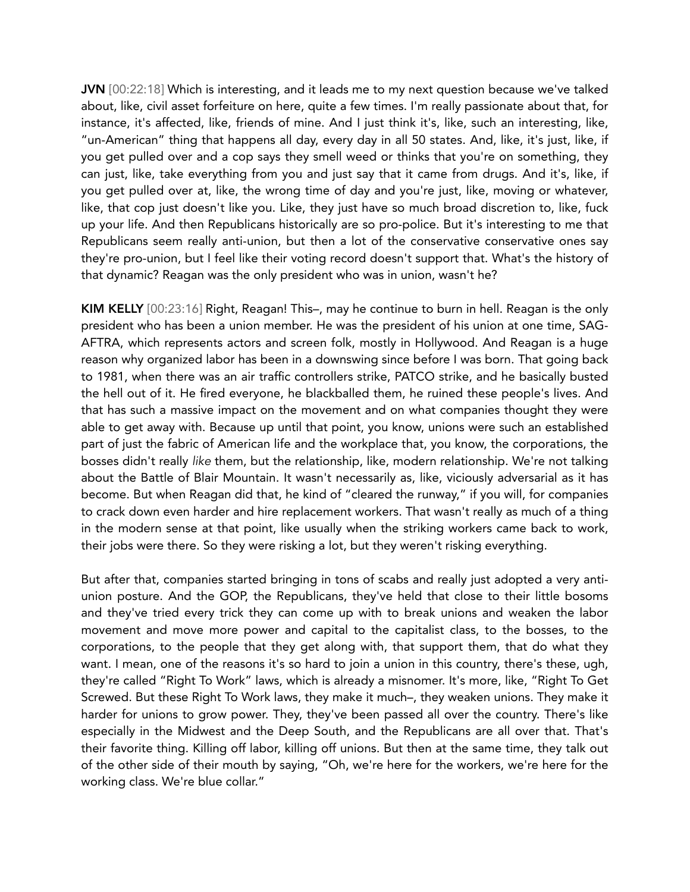JVN [00:22:18] Which is interesting, and it leads me to my next question because we've talked about, like, civil asset forfeiture on here, quite a few times. I'm really passionate about that, for instance, it's affected, like, friends of mine. And I just think it's, like, such an interesting, like, "un-American" thing that happens all day, every day in all 50 states. And, like, it's just, like, if you get pulled over and a cop says they smell weed or thinks that you're on something, they can just, like, take everything from you and just say that it came from drugs. And it's, like, if you get pulled over at, like, the wrong time of day and you're just, like, moving or whatever, like, that cop just doesn't like you. Like, they just have so much broad discretion to, like, fuck up your life. And then Republicans historically are so pro-police. But it's interesting to me that Republicans seem really anti-union, but then a lot of the conservative conservative ones say they're pro-union, but I feel like their voting record doesn't support that. What's the history of that dynamic? Reagan was the only president who was in union, wasn't he?

KIM KELLY [00:23:16] Right, Reagan! This–, may he continue to burn in hell. Reagan is the only president who has been a union member. He was the president of his union at one time, SAG-AFTRA, which represents actors and screen folk, mostly in Hollywood. And Reagan is a huge reason why organized labor has been in a downswing since before I was born. That going back to 1981, when there was an air traffic controllers strike, PATCO strike, and he basically busted the hell out of it. He fired everyone, he blackballed them, he ruined these people's lives. And that has such a massive impact on the movement and on what companies thought they were able to get away with. Because up until that point, you know, unions were such an established part of just the fabric of American life and the workplace that, you know, the corporations, the bosses didn't really *like* them, but the relationship, like, modern relationship. We're not talking about the Battle of Blair Mountain. It wasn't necessarily as, like, viciously adversarial as it has become. But when Reagan did that, he kind of "cleared the runway," if you will, for companies to crack down even harder and hire replacement workers. That wasn't really as much of a thing in the modern sense at that point, like usually when the striking workers came back to work, their jobs were there. So they were risking a lot, but they weren't risking everything.

But after that, companies started bringing in tons of scabs and really just adopted a very antiunion posture. And the GOP, the Republicans, they've held that close to their little bosoms and they've tried every trick they can come up with to break unions and weaken the labor movement and move more power and capital to the capitalist class, to the bosses, to the corporations, to the people that they get along with, that support them, that do what they want. I mean, one of the reasons it's so hard to join a union in this country, there's these, ugh, they're called "Right To Work" laws, which is already a misnomer. It's more, like, "Right To Get Screwed. But these Right To Work laws, they make it much–, they weaken unions. They make it harder for unions to grow power. They, they've been passed all over the country. There's like especially in the Midwest and the Deep South, and the Republicans are all over that. That's their favorite thing. Killing off labor, killing off unions. But then at the same time, they talk out of the other side of their mouth by saying, "Oh, we're here for the workers, we're here for the working class. We're blue collar."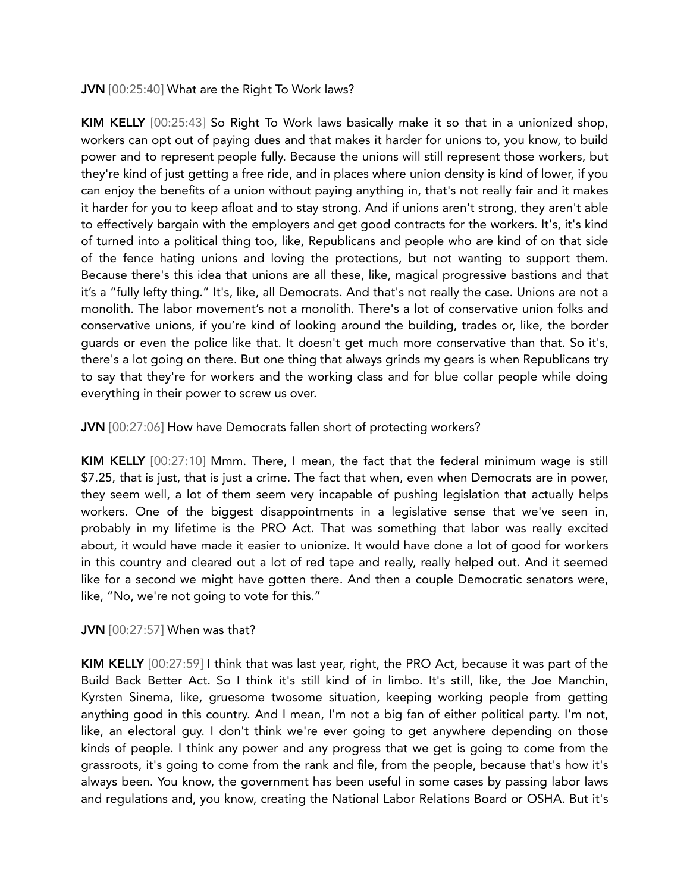JVN [00:25:40] What are the Right To Work laws?

KIM KELLY [00:25:43] So Right To Work laws basically make it so that in a unionized shop, workers can opt out of paying dues and that makes it harder for unions to, you know, to build power and to represent people fully. Because the unions will still represent those workers, but they're kind of just getting a free ride, and in places where union density is kind of lower, if you can enjoy the benefits of a union without paying anything in, that's not really fair and it makes it harder for you to keep afloat and to stay strong. And if unions aren't strong, they aren't able to effectively bargain with the employers and get good contracts for the workers. It's, it's kind of turned into a political thing too, like, Republicans and people who are kind of on that side of the fence hating unions and loving the protections, but not wanting to support them. Because there's this idea that unions are all these, like, magical progressive bastions and that it's a "fully lefty thing." It's, like, all Democrats. And that's not really the case. Unions are not a monolith. The labor movement's not a monolith. There's a lot of conservative union folks and conservative unions, if you're kind of looking around the building, trades or, like, the border guards or even the police like that. It doesn't get much more conservative than that. So it's, there's a lot going on there. But one thing that always grinds my gears is when Republicans try to say that they're for workers and the working class and for blue collar people while doing everything in their power to screw us over.

JVN [00:27:06] How have Democrats fallen short of protecting workers?

KIM KELLY [00:27:10] Mmm. There, I mean, the fact that the federal minimum wage is still \$7.25, that is just, that is just a crime. The fact that when, even when Democrats are in power, they seem well, a lot of them seem very incapable of pushing legislation that actually helps workers. One of the biggest disappointments in a legislative sense that we've seen in, probably in my lifetime is the PRO Act. That was something that labor was really excited about, it would have made it easier to unionize. It would have done a lot of good for workers in this country and cleared out a lot of red tape and really, really helped out. And it seemed like for a second we might have gotten there. And then a couple Democratic senators were, like, "No, we're not going to vote for this."

JVN [00:27:57] When was that?

KIM KELLY [00:27:59] I think that was last year, right, the PRO Act, because it was part of the Build Back Better Act. So I think it's still kind of in limbo. It's still, like, the Joe Manchin, Kyrsten Sinema, like, gruesome twosome situation, keeping working people from getting anything good in this country. And I mean, I'm not a big fan of either political party. I'm not, like, an electoral guy. I don't think we're ever going to get anywhere depending on those kinds of people. I think any power and any progress that we get is going to come from the grassroots, it's going to come from the rank and file, from the people, because that's how it's always been. You know, the government has been useful in some cases by passing labor laws and regulations and, you know, creating the National Labor Relations Board or OSHA. But it's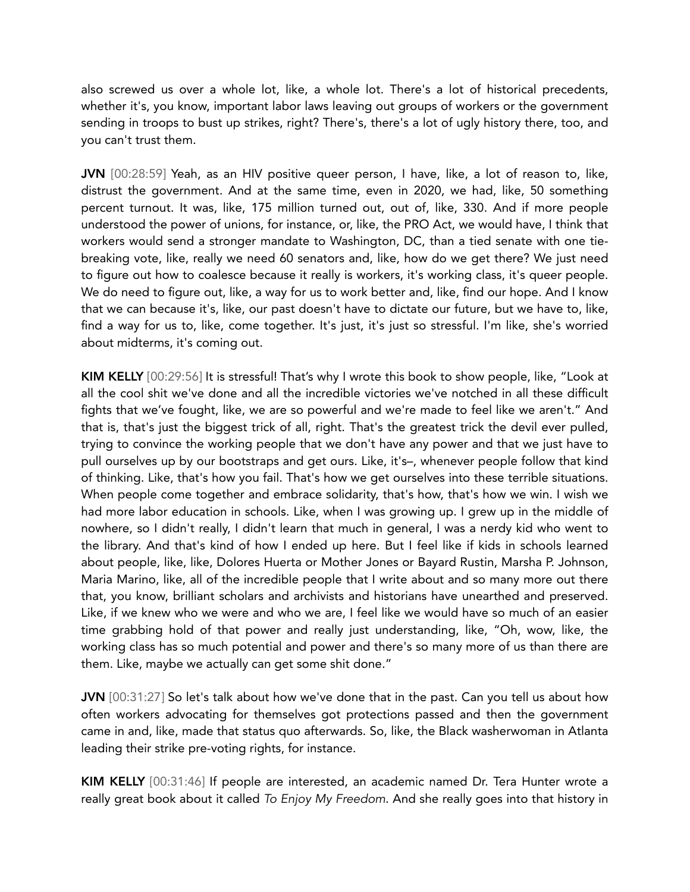also screwed us over a whole lot, like, a whole lot. There's a lot of historical precedents, whether it's, you know, important labor laws leaving out groups of workers or the government sending in troops to bust up strikes, right? There's, there's a lot of ugly history there, too, and you can't trust them.

JVN [00:28:59] Yeah, as an HIV positive queer person, I have, like, a lot of reason to, like, distrust the government. And at the same time, even in 2020, we had, like, 50 something percent turnout. It was, like, 175 million turned out, out of, like, 330. And if more people understood the power of unions, for instance, or, like, the PRO Act, we would have, I think that workers would send a stronger mandate to Washington, DC, than a tied senate with one tiebreaking vote, like, really we need 60 senators and, like, how do we get there? We just need to figure out how to coalesce because it really is workers, it's working class, it's queer people. We do need to figure out, like, a way for us to work better and, like, find our hope. And I know that we can because it's, like, our past doesn't have to dictate our future, but we have to, like, find a way for us to, like, come together. It's just, it's just so stressful. I'm like, she's worried about midterms, it's coming out.

KIM KELLY [00:29:56] It is stressful! That's why I wrote this book to show people, like, "Look at all the cool shit we've done and all the incredible victories we've notched in all these difficult fights that we've fought, like, we are so powerful and we're made to feel like we aren't." And that is, that's just the biggest trick of all, right. That's the greatest trick the devil ever pulled, trying to convince the working people that we don't have any power and that we just have to pull ourselves up by our bootstraps and get ours. Like, it's–, whenever people follow that kind of thinking. Like, that's how you fail. That's how we get ourselves into these terrible situations. When people come together and embrace solidarity, that's how, that's how we win. I wish we had more labor education in schools. Like, when I was growing up. I grew up in the middle of nowhere, so I didn't really, I didn't learn that much in general, I was a nerdy kid who went to the library. And that's kind of how I ended up here. But I feel like if kids in schools learned about people, like, like, Dolores Huerta or Mother Jones or Bayard Rustin, Marsha P. Johnson, Maria Marino, like, all of the incredible people that I write about and so many more out there that, you know, brilliant scholars and archivists and historians have unearthed and preserved. Like, if we knew who we were and who we are, I feel like we would have so much of an easier time grabbing hold of that power and really just understanding, like, "Oh, wow, like, the working class has so much potential and power and there's so many more of us than there are them. Like, maybe we actually can get some shit done."

JVN [00:31:27] So let's talk about how we've done that in the past. Can you tell us about how often workers advocating for themselves got protections passed and then the government came in and, like, made that status quo afterwards. So, like, the Black washerwoman in Atlanta leading their strike pre-voting rights, for instance.

KIM KELLY [00:31:46] If people are interested, an academic named Dr. Tera Hunter wrote a really great book about it called *To Enjoy My Freedom*. And she really goes into that history in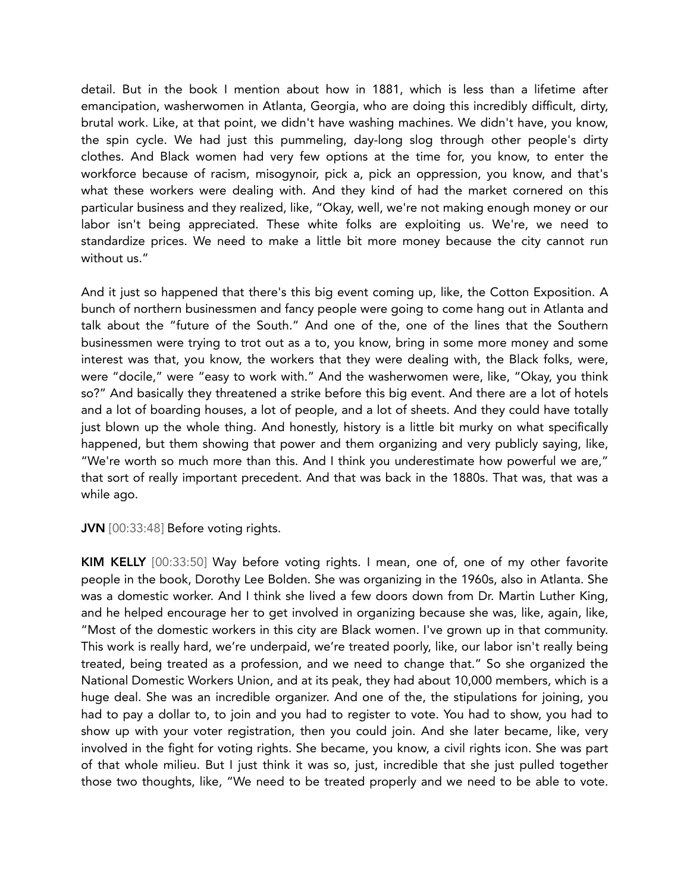detail. But in the book I mention about how in 1881, which is less than a lifetime after emancipation, washerwomen in Atlanta, Georgia, who are doing this incredibly difficult, dirty, brutal work. Like, at that point, we didn't have washing machines. We didn't have, you know, the spin cycle. We had just this pummeling, day-long slog through other people's dirty clothes. And Black women had very few options at the time for, you know, to enter the workforce because of racism, misogynoir, pick a, pick an oppression, you know, and that's what these workers were dealing with. And they kind of had the market cornered on this particular business and they realized, like, "Okay, well, we're not making enough money or our labor isn't being appreciated. These white folks are exploiting us. We're, we need to standardize prices. We need to make a little bit more money because the city cannot run without us."

And it just so happened that there's this big event coming up, like, the Cotton Exposition. A bunch of northern businessmen and fancy people were going to come hang out in Atlanta and talk about the "future of the South." And one of the, one of the lines that the Southern businessmen were trying to trot out as a to, you know, bring in some more money and some interest was that, you know, the workers that they were dealing with, the Black folks, were, were "docile," were "easy to work with." And the washerwomen were, like, "Okay, you think so?" And basically they threatened a strike before this big event. And there are a lot of hotels and a lot of boarding houses, a lot of people, and a lot of sheets. And they could have totally just blown up the whole thing. And honestly, history is a little bit murky on what specifically happened, but them showing that power and them organizing and very publicly saying, like, "We're worth so much more than this. And I think you underestimate how powerful we are," that sort of really important precedent. And that was back in the 1880s. That was, that was a while ago.

JVN [00:33:48] Before voting rights.

KIM KELLY [00:33:50] Way before voting rights. I mean, one of, one of my other favorite people in the book, Dorothy Lee Bolden. She was organizing in the 1960s, also in Atlanta. She was a domestic worker. And I think she lived a few doors down from Dr. Martin Luther King, and he helped encourage her to get involved in organizing because she was, like, again, like, "Most of the domestic workers in this city are Black women. I've grown up in that community. This work is really hard, we're underpaid, we're treated poorly, like, our labor isn't really being treated, being treated as a profession, and we need to change that." So she organized the National Domestic Workers Union, and at its peak, they had about 10,000 members, which is a huge deal. She was an incredible organizer. And one of the, the stipulations for joining, you had to pay a dollar to, to join and you had to register to vote. You had to show, you had to show up with your voter registration, then you could join. And she later became, like, very involved in the fight for voting rights. She became, you know, a civil rights icon. She was part of that whole milieu. But I just think it was so, just, incredible that she just pulled together those two thoughts, like, "We need to be treated properly and we need to be able to vote.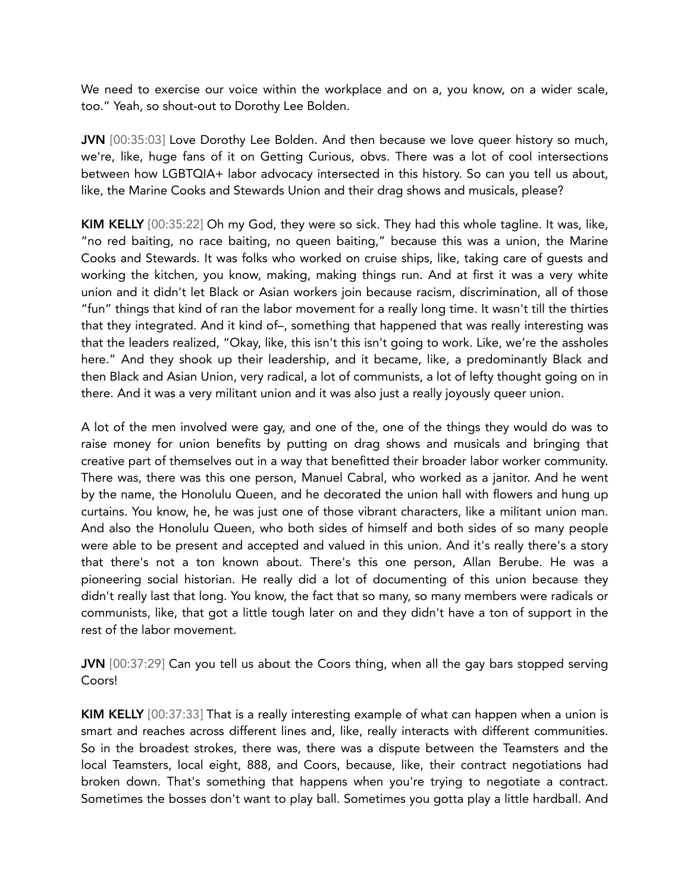We need to exercise our voice within the workplace and on a, you know, on a wider scale, too." Yeah, so shout-out to Dorothy Lee Bolden.

JVN [00:35:03] Love Dorothy Lee Bolden. And then because we love queer history so much, we're, like, huge fans of it on Getting Curious, obvs. There was a lot of cool intersections between how LGBTQIA+ labor advocacy intersected in this history. So can you tell us about, like, the Marine Cooks and Stewards Union and their drag shows and musicals, please?

KIM KELLY [00:35:22] Oh my God, they were so sick. They had this whole tagline. It was, like, "no red baiting, no race baiting, no queen baiting," because this was a union, the Marine Cooks and Stewards. It was folks who worked on cruise ships, like, taking care of guests and working the kitchen, you know, making, making things run. And at first it was a very white union and it didn't let Black or Asian workers join because racism, discrimination, all of those "fun" things that kind of ran the labor movement for a really long time. It wasn't till the thirties that they integrated. And it kind of–, something that happened that was really interesting was that the leaders realized, "Okay, like, this isn't this isn't going to work. Like, we're the assholes here." And they shook up their leadership, and it became, like, a predominantly Black and then Black and Asian Union, very radical, a lot of communists, a lot of lefty thought going on in there. And it was a very militant union and it was also just a really joyously queer union.

A lot of the men involved were gay, and one of the, one of the things they would do was to raise money for union benefits by putting on drag shows and musicals and bringing that creative part of themselves out in a way that benefitted their broader labor worker community. There was, there was this one person, Manuel Cabral, who worked as a janitor. And he went by the name, the Honolulu Queen, and he decorated the union hall with flowers and hung up curtains. You know, he, he was just one of those vibrant characters, like a militant union man. And also the Honolulu Queen, who both sides of himself and both sides of so many people were able to be present and accepted and valued in this union. And it's really there's a story that there's not a ton known about. There's this one person, Allan Berube. He was a pioneering social historian. He really did a lot of documenting of this union because they didn't really last that long. You know, the fact that so many, so many members were radicals or communists, like, that got a little tough later on and they didn't have a ton of support in the rest of the labor movement.

JVN [00:37:29] Can you tell us about the Coors thing, when all the gay bars stopped serving Coors!

KIM KELLY [00:37:33] That is a really interesting example of what can happen when a union is smart and reaches across different lines and, like, really interacts with different communities. So in the broadest strokes, there was, there was a dispute between the Teamsters and the local Teamsters, local eight, 888, and Coors, because, like, their contract negotiations had broken down. That's something that happens when you're trying to negotiate a contract. Sometimes the bosses don't want to play ball. Sometimes you gotta play a little hardball. And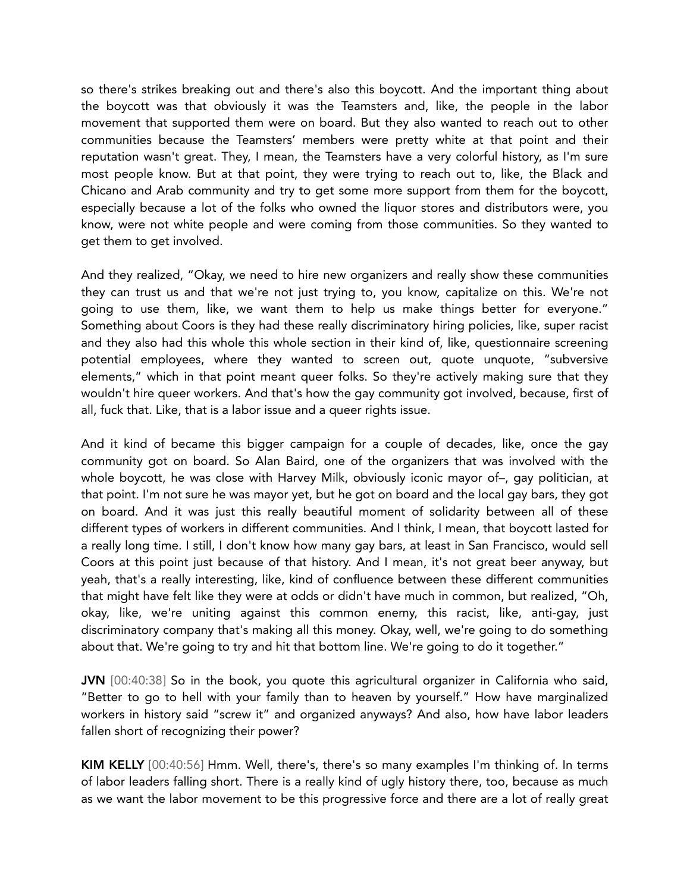so there's strikes breaking out and there's also this boycott. And the important thing about the boycott was that obviously it was the Teamsters and, like, the people in the labor movement that supported them were on board. But they also wanted to reach out to other communities because the Teamsters' members were pretty white at that point and their reputation wasn't great. They, I mean, the Teamsters have a very colorful history, as I'm sure most people know. But at that point, they were trying to reach out to, like, the Black and Chicano and Arab community and try to get some more support from them for the boycott, especially because a lot of the folks who owned the liquor stores and distributors were, you know, were not white people and were coming from those communities. So they wanted to get them to get involved.

And they realized, "Okay, we need to hire new organizers and really show these communities they can trust us and that we're not just trying to, you know, capitalize on this. We're not going to use them, like, we want them to help us make things better for everyone." Something about Coors is they had these really discriminatory hiring policies, like, super racist and they also had this whole this whole section in their kind of, like, questionnaire screening potential employees, where they wanted to screen out, quote unquote, "subversive elements," which in that point meant queer folks. So they're actively making sure that they wouldn't hire queer workers. And that's how the gay community got involved, because, first of all, fuck that. Like, that is a labor issue and a queer rights issue.

And it kind of became this bigger campaign for a couple of decades, like, once the gay community got on board. So Alan Baird, one of the organizers that was involved with the whole boycott, he was close with Harvey Milk, obviously iconic mayor of–, gay politician, at that point. I'm not sure he was mayor yet, but he got on board and the local gay bars, they got on board. And it was just this really beautiful moment of solidarity between all of these different types of workers in different communities. And I think, I mean, that boycott lasted for a really long time. I still, I don't know how many gay bars, at least in San Francisco, would sell Coors at this point just because of that history. And I mean, it's not great beer anyway, but yeah, that's a really interesting, like, kind of confluence between these different communities that might have felt like they were at odds or didn't have much in common, but realized, "Oh, okay, like, we're uniting against this common enemy, this racist, like, anti-gay, just discriminatory company that's making all this money. Okay, well, we're going to do something about that. We're going to try and hit that bottom line. We're going to do it together."

JVN [00:40:38] So in the book, you quote this agricultural organizer in California who said, "Better to go to hell with your family than to heaven by yourself." How have marginalized workers in history said "screw it" and organized anyways? And also, how have labor leaders fallen short of recognizing their power?

KIM KELLY [00:40:56] Hmm. Well, there's, there's so many examples I'm thinking of. In terms of labor leaders falling short. There is a really kind of ugly history there, too, because as much as we want the labor movement to be this progressive force and there are a lot of really great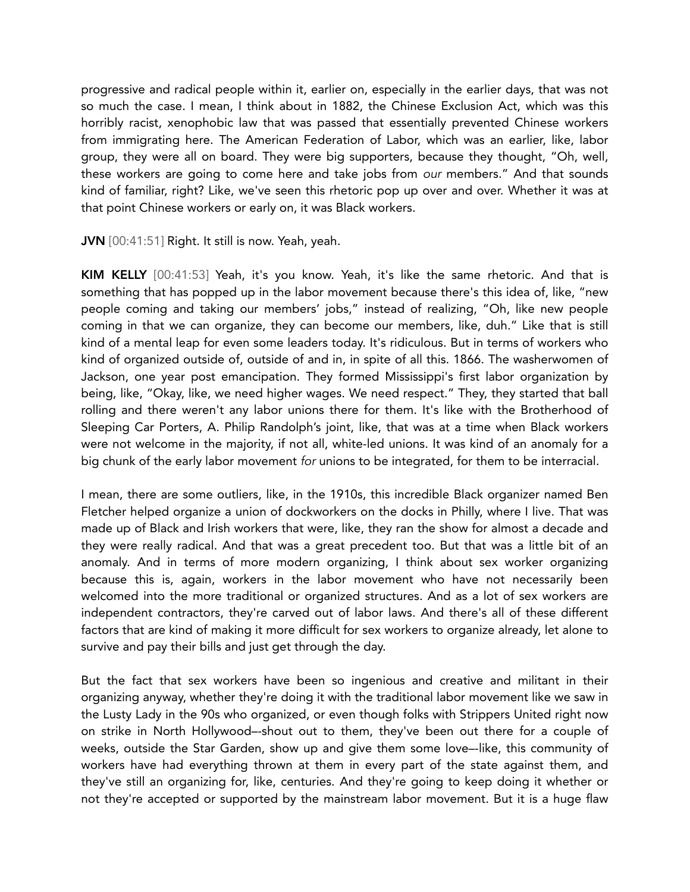progressive and radical people within it, earlier on, especially in the earlier days, that was not so much the case. I mean, I think about in 1882, the Chinese Exclusion Act, which was this horribly racist, xenophobic law that was passed that essentially prevented Chinese workers from immigrating here. The American Federation of Labor, which was an earlier, like, labor group, they were all on board. They were big supporters, because they thought, "Oh, well, these workers are going to come here and take jobs from *our* members." And that sounds kind of familiar, right? Like, we've seen this rhetoric pop up over and over. Whether it was at that point Chinese workers or early on, it was Black workers.

JVN [00:41:51] Right. It still is now. Yeah, yeah.

KIM KELLY [00:41:53] Yeah, it's you know. Yeah, it's like the same rhetoric. And that is something that has popped up in the labor movement because there's this idea of, like, "new people coming and taking our members' jobs," instead of realizing, "Oh, like new people coming in that we can organize, they can become our members, like, duh." Like that is still kind of a mental leap for even some leaders today. It's ridiculous. But in terms of workers who kind of organized outside of, outside of and in, in spite of all this. 1866. The washerwomen of Jackson, one year post emancipation. They formed Mississippi's first labor organization by being, like, "Okay, like, we need higher wages. We need respect." They, they started that ball rolling and there weren't any labor unions there for them. It's like with the Brotherhood of Sleeping Car Porters, A. Philip Randolph's joint, like, that was at a time when Black workers were not welcome in the majority, if not all, white-led unions. It was kind of an anomaly for a big chunk of the early labor movement *for* unions to be integrated, for them to be interracial.

I mean, there are some outliers, like, in the 1910s, this incredible Black organizer named Ben Fletcher helped organize a union of dockworkers on the docks in Philly, where I live. That was made up of Black and Irish workers that were, like, they ran the show for almost a decade and they were really radical. And that was a great precedent too. But that was a little bit of an anomaly. And in terms of more modern organizing, I think about sex worker organizing because this is, again, workers in the labor movement who have not necessarily been welcomed into the more traditional or organized structures. And as a lot of sex workers are independent contractors, they're carved out of labor laws. And there's all of these different factors that are kind of making it more difficult for sex workers to organize already, let alone to survive and pay their bills and just get through the day.

But the fact that sex workers have been so ingenious and creative and militant in their organizing anyway, whether they're doing it with the traditional labor movement like we saw in the Lusty Lady in the 90s who organized, or even though folks with Strippers United right now on strike in North Hollywood–-shout out to them, they've been out there for a couple of weeks, outside the Star Garden, show up and give them some love–-like, this community of workers have had everything thrown at them in every part of the state against them, and they've still an organizing for, like, centuries. And they're going to keep doing it whether or not they're accepted or supported by the mainstream labor movement. But it is a huge flaw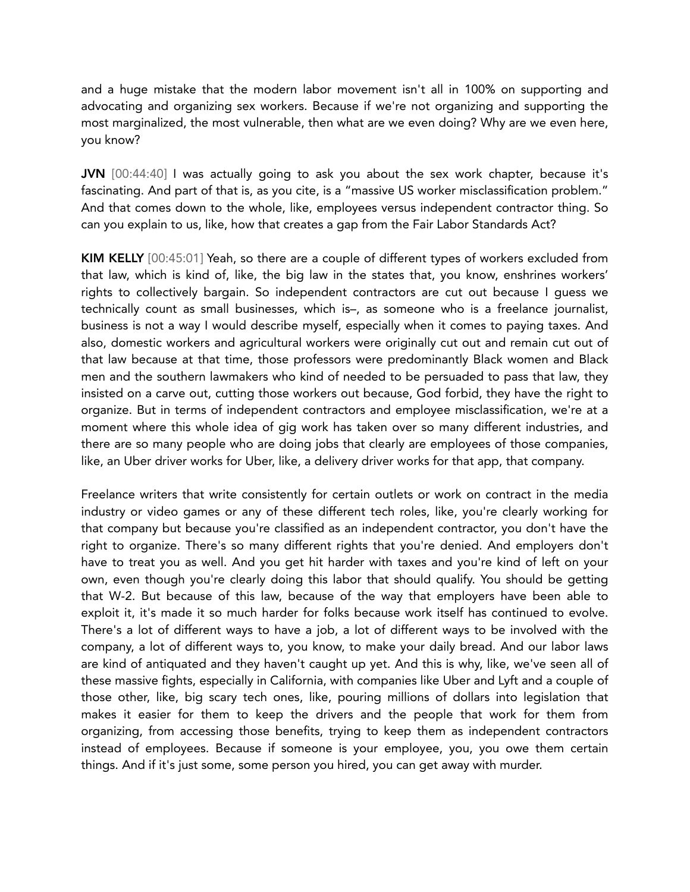and a huge mistake that the modern labor movement isn't all in 100% on supporting and advocating and organizing sex workers. Because if we're not organizing and supporting the most marginalized, the most vulnerable, then what are we even doing? Why are we even here, you know?

JVN [00:44:40] I was actually going to ask you about the sex work chapter, because it's fascinating. And part of that is, as you cite, is a "massive US worker misclassification problem." And that comes down to the whole, like, employees versus independent contractor thing. So can you explain to us, like, how that creates a gap from the Fair Labor Standards Act?

KIM KELLY [00:45:01] Yeah, so there are a couple of different types of workers excluded from that law, which is kind of, like, the big law in the states that, you know, enshrines workers' rights to collectively bargain. So independent contractors are cut out because I guess we technically count as small businesses, which is–, as someone who is a freelance journalist, business is not a way I would describe myself, especially when it comes to paying taxes. And also, domestic workers and agricultural workers were originally cut out and remain cut out of that law because at that time, those professors were predominantly Black women and Black men and the southern lawmakers who kind of needed to be persuaded to pass that law, they insisted on a carve out, cutting those workers out because, God forbid, they have the right to organize. But in terms of independent contractors and employee misclassification, we're at a moment where this whole idea of gig work has taken over so many different industries, and there are so many people who are doing jobs that clearly are employees of those companies, like, an Uber driver works for Uber, like, a delivery driver works for that app, that company.

Freelance writers that write consistently for certain outlets or work on contract in the media industry or video games or any of these different tech roles, like, you're clearly working for that company but because you're classified as an independent contractor, you don't have the right to organize. There's so many different rights that you're denied. And employers don't have to treat you as well. And you get hit harder with taxes and you're kind of left on your own, even though you're clearly doing this labor that should qualify. You should be getting that W-2. But because of this law, because of the way that employers have been able to exploit it, it's made it so much harder for folks because work itself has continued to evolve. There's a lot of different ways to have a job, a lot of different ways to be involved with the company, a lot of different ways to, you know, to make your daily bread. And our labor laws are kind of antiquated and they haven't caught up yet. And this is why, like, we've seen all of these massive fights, especially in California, with companies like Uber and Lyft and a couple of those other, like, big scary tech ones, like, pouring millions of dollars into legislation that makes it easier for them to keep the drivers and the people that work for them from organizing, from accessing those benefits, trying to keep them as independent contractors instead of employees. Because if someone is your employee, you, you owe them certain things. And if it's just some, some person you hired, you can get away with murder.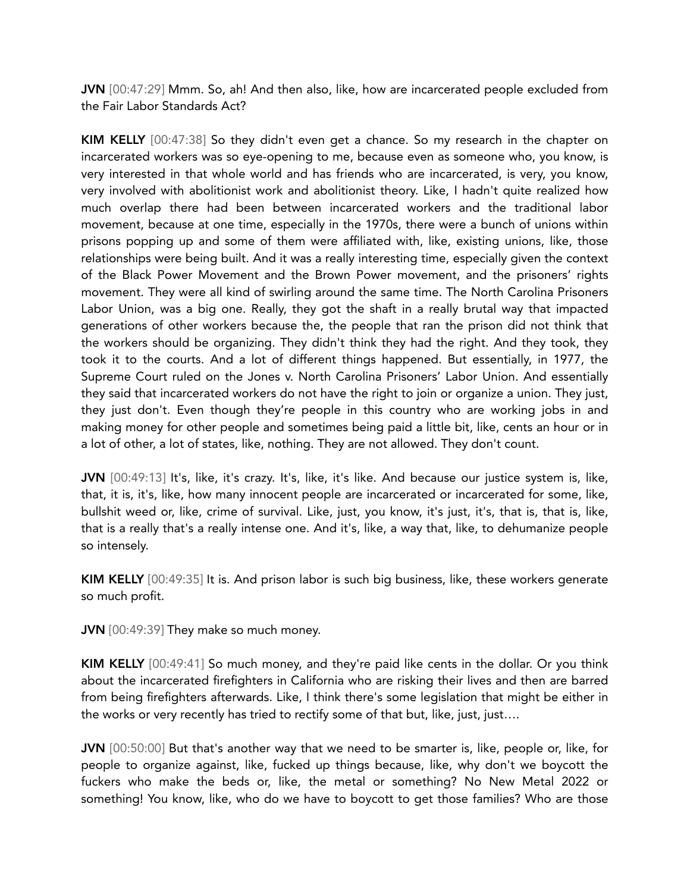JVN [00:47:29] Mmm. So, ah! And then also, like, how are incarcerated people excluded from the Fair Labor Standards Act?

KIM KELLY [00:47:38] So they didn't even get a chance. So my research in the chapter on incarcerated workers was so eye-opening to me, because even as someone who, you know, is very interested in that whole world and has friends who are incarcerated, is very, you know, very involved with abolitionist work and abolitionist theory. Like, I hadn't quite realized how much overlap there had been between incarcerated workers and the traditional labor movement, because at one time, especially in the 1970s, there were a bunch of unions within prisons popping up and some of them were affiliated with, like, existing unions, like, those relationships were being built. And it was a really interesting time, especially given the context of the Black Power Movement and the Brown Power movement, and the prisoners' rights movement. They were all kind of swirling around the same time. The North Carolina Prisoners Labor Union, was a big one. Really, they got the shaft in a really brutal way that impacted generations of other workers because the, the people that ran the prison did not think that the workers should be organizing. They didn't think they had the right. And they took, they took it to the courts. And a lot of different things happened. But essentially, in 1977, the Supreme Court ruled on the Jones v. North Carolina Prisoners' Labor Union. And essentially they said that incarcerated workers do not have the right to join or organize a union. They just, they just don't. Even though they're people in this country who are working jobs in and making money for other people and sometimes being paid a little bit, like, cents an hour or in a lot of other, a lot of states, like, nothing. They are not allowed. They don't count.

JVN [00:49:13] It's, like, it's crazy. It's, like, it's like. And because our justice system is, like, that, it is, it's, like, how many innocent people are incarcerated or incarcerated for some, like, bullshit weed or, like, crime of survival. Like, just, you know, it's just, it's, that is, that is, like, that is a really that's a really intense one. And it's, like, a way that, like, to dehumanize people so intensely.

KIM KELLY [00:49:35] It is. And prison labor is such big business, like, these workers generate so much profit.

JVN [00:49:39] They make so much money.

KIM KELLY [00:49:41] So much money, and they're paid like cents in the dollar. Or you think about the incarcerated firefighters in California who are risking their lives and then are barred from being firefighters afterwards. Like, I think there's some legislation that might be either in the works or very recently has tried to rectify some of that but, like, just, just….

JVN [00:50:00] But that's another way that we need to be smarter is, like, people or, like, for people to organize against, like, fucked up things because, like, why don't we boycott the fuckers who make the beds or, like, the metal or something? No New Metal 2022 or something! You know, like, who do we have to boycott to get those families? Who are those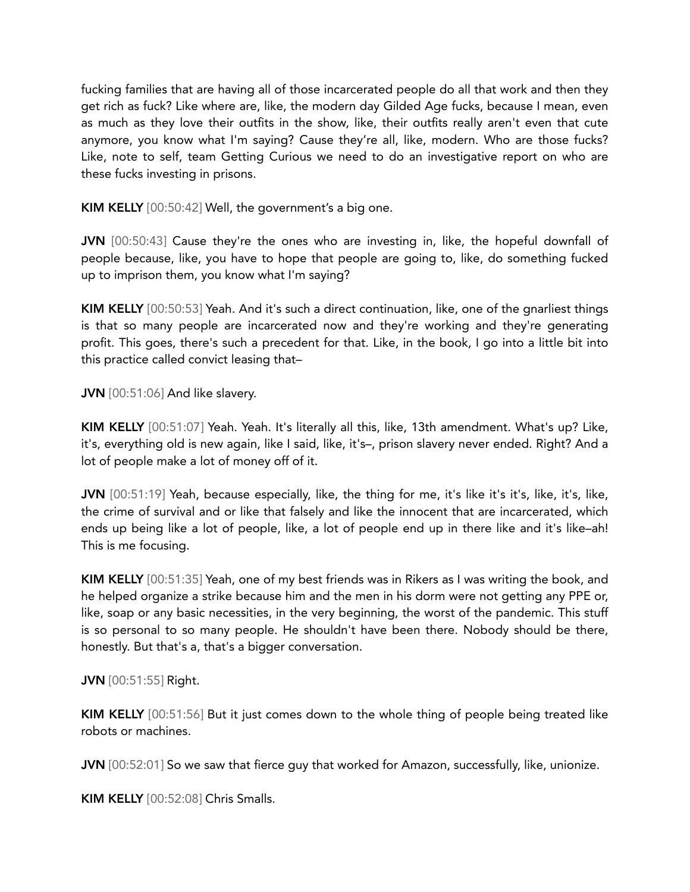fucking families that are having all of those incarcerated people do all that work and then they get rich as fuck? Like where are, like, the modern day Gilded Age fucks, because I mean, even as much as they love their outfits in the show, like, their outfits really aren't even that cute anymore, you know what I'm saying? Cause they're all, like, modern. Who are those fucks? Like, note to self, team Getting Curious we need to do an investigative report on who are these fucks investing in prisons.

KIM KELLY [00:50:42] Well, the government's a big one.

JVN [00:50:43] Cause they're the ones who are investing in, like, the hopeful downfall of people because, like, you have to hope that people are going to, like, do something fucked up to imprison them, you know what I'm saying?

KIM KELLY [00:50:53] Yeah. And it's such a direct continuation, like, one of the gnarliest things is that so many people are incarcerated now and they're working and they're generating profit. This goes, there's such a precedent for that. Like, in the book, I go into a little bit into this practice called convict leasing that–

JVN [00:51:06] And like slavery.

KIM KELLY [00:51:07] Yeah. Yeah. It's literally all this, like, 13th amendment. What's up? Like, it's, everything old is new again, like I said, like, it's–, prison slavery never ended. Right? And a lot of people make a lot of money off of it.

JVN [00:51:19] Yeah, because especially, like, the thing for me, it's like it's it's, like, it's, like, the crime of survival and or like that falsely and like the innocent that are incarcerated, which ends up being like a lot of people, like, a lot of people end up in there like and it's like–ah! This is me focusing.

KIM KELLY [00:51:35] Yeah, one of my best friends was in Rikers as I was writing the book, and he helped organize a strike because him and the men in his dorm were not getting any PPE or, like, soap or any basic necessities, in the very beginning, the worst of the pandemic. This stuff is so personal to so many people. He shouldn't have been there. Nobody should be there, honestly. But that's a, that's a bigger conversation.

## JVN [00:51:55] Right.

KIM KELLY [00:51:56] But it just comes down to the whole thing of people being treated like robots or machines.

JVN [00:52:01] So we saw that fierce guy that worked for Amazon, successfully, like, unionize.

KIM KELLY [00:52:08] Chris Smalls.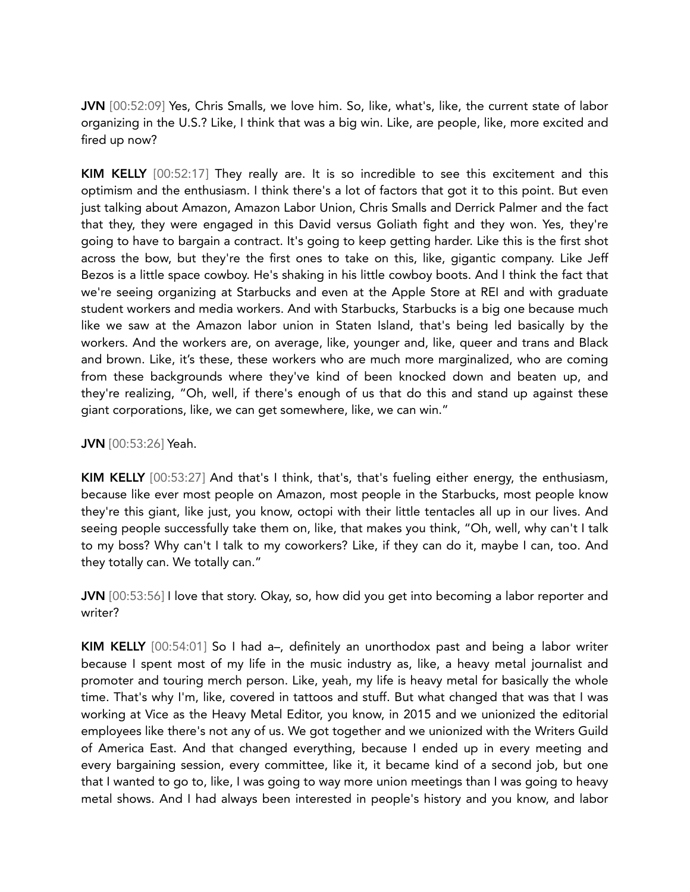JVN [00:52:09] Yes, Chris Smalls, we love him. So, like, what's, like, the current state of labor organizing in the U.S.? Like, I think that was a big win. Like, are people, like, more excited and fired up now?

KIM KELLY [00:52:17] They really are. It is so incredible to see this excitement and this optimism and the enthusiasm. I think there's a lot of factors that got it to this point. But even just talking about Amazon, Amazon Labor Union, Chris Smalls and Derrick Palmer and the fact that they, they were engaged in this David versus Goliath fight and they won. Yes, they're going to have to bargain a contract. It's going to keep getting harder. Like this is the first shot across the bow, but they're the first ones to take on this, like, gigantic company. Like Jeff Bezos is a little space cowboy. He's shaking in his little cowboy boots. And I think the fact that we're seeing organizing at Starbucks and even at the Apple Store at REI and with graduate student workers and media workers. And with Starbucks, Starbucks is a big one because much like we saw at the Amazon labor union in Staten Island, that's being led basically by the workers. And the workers are, on average, like, younger and, like, queer and trans and Black and brown. Like, it's these, these workers who are much more marginalized, who are coming from these backgrounds where they've kind of been knocked down and beaten up, and they're realizing, "Oh, well, if there's enough of us that do this and stand up against these giant corporations, like, we can get somewhere, like, we can win."

JVN [00:53:26] Yeah.

KIM KELLY [00:53:27] And that's I think, that's, that's fueling either energy, the enthusiasm, because like ever most people on Amazon, most people in the Starbucks, most people know they're this giant, like just, you know, octopi with their little tentacles all up in our lives. And seeing people successfully take them on, like, that makes you think, "Oh, well, why can't I talk to my boss? Why can't I talk to my coworkers? Like, if they can do it, maybe I can, too. And they totally can. We totally can."

JVN [00:53:56] I love that story. Okay, so, how did you get into becoming a labor reporter and writer?

KIM KELLY [00:54:01] So I had a–, definitely an unorthodox past and being a labor writer because I spent most of my life in the music industry as, like, a heavy metal journalist and promoter and touring merch person. Like, yeah, my life is heavy metal for basically the whole time. That's why I'm, like, covered in tattoos and stuff. But what changed that was that I was working at Vice as the Heavy Metal Editor, you know, in 2015 and we unionized the editorial employees like there's not any of us. We got together and we unionized with the Writers Guild of America East. And that changed everything, because I ended up in every meeting and every bargaining session, every committee, like it, it became kind of a second job, but one that I wanted to go to, like, I was going to way more union meetings than I was going to heavy metal shows. And I had always been interested in people's history and you know, and labor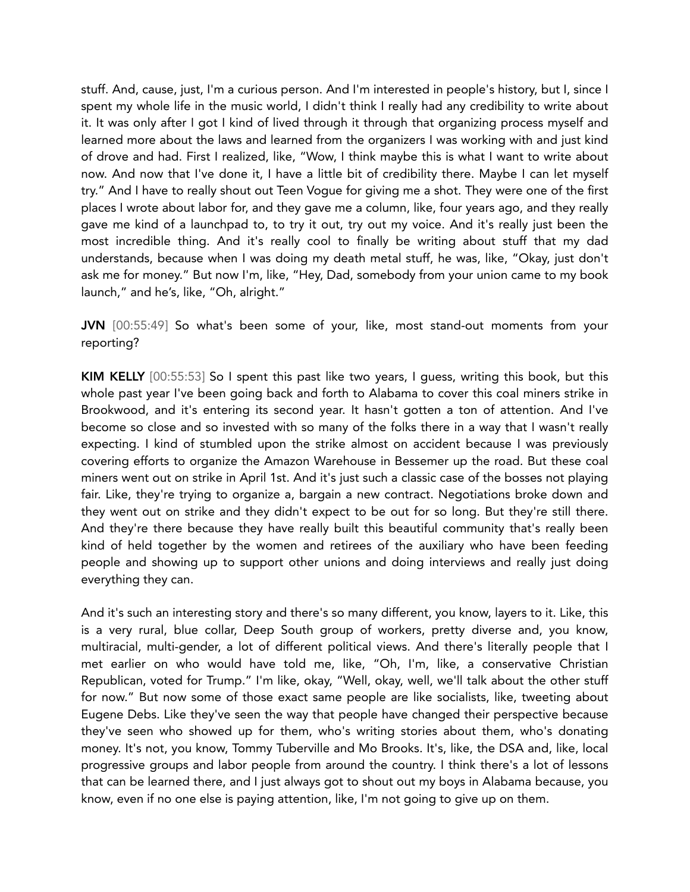stuff. And, cause, just, I'm a curious person. And I'm interested in people's history, but I, since I spent my whole life in the music world, I didn't think I really had any credibility to write about it. It was only after I got I kind of lived through it through that organizing process myself and learned more about the laws and learned from the organizers I was working with and just kind of drove and had. First I realized, like, "Wow, I think maybe this is what I want to write about now. And now that I've done it, I have a little bit of credibility there. Maybe I can let myself try." And I have to really shout out Teen Vogue for giving me a shot. They were one of the first places I wrote about labor for, and they gave me a column, like, four years ago, and they really gave me kind of a launchpad to, to try it out, try out my voice. And it's really just been the most incredible thing. And it's really cool to finally be writing about stuff that my dad understands, because when I was doing my death metal stuff, he was, like, "Okay, just don't ask me for money." But now I'm, like, "Hey, Dad, somebody from your union came to my book launch," and he's, like, "Oh, alright."

JVN [00:55:49] So what's been some of your, like, most stand-out moments from your reporting?

KIM KELLY [00:55:53] So I spent this past like two years, I guess, writing this book, but this whole past year I've been going back and forth to Alabama to cover this coal miners strike in Brookwood, and it's entering its second year. It hasn't gotten a ton of attention. And I've become so close and so invested with so many of the folks there in a way that I wasn't really expecting. I kind of stumbled upon the strike almost on accident because I was previously covering efforts to organize the Amazon Warehouse in Bessemer up the road. But these coal miners went out on strike in April 1st. And it's just such a classic case of the bosses not playing fair. Like, they're trying to organize a, bargain a new contract. Negotiations broke down and they went out on strike and they didn't expect to be out for so long. But they're still there. And they're there because they have really built this beautiful community that's really been kind of held together by the women and retirees of the auxiliary who have been feeding people and showing up to support other unions and doing interviews and really just doing everything they can.

And it's such an interesting story and there's so many different, you know, layers to it. Like, this is a very rural, blue collar, Deep South group of workers, pretty diverse and, you know, multiracial, multi-gender, a lot of different political views. And there's literally people that I met earlier on who would have told me, like, "Oh, I'm, like, a conservative Christian Republican, voted for Trump." I'm like, okay, "Well, okay, well, we'll talk about the other stuff for now." But now some of those exact same people are like socialists, like, tweeting about Eugene Debs. Like they've seen the way that people have changed their perspective because they've seen who showed up for them, who's writing stories about them, who's donating money. It's not, you know, Tommy Tuberville and Mo Brooks. It's, like, the DSA and, like, local progressive groups and labor people from around the country. I think there's a lot of lessons that can be learned there, and I just always got to shout out my boys in Alabama because, you know, even if no one else is paying attention, like, I'm not going to give up on them.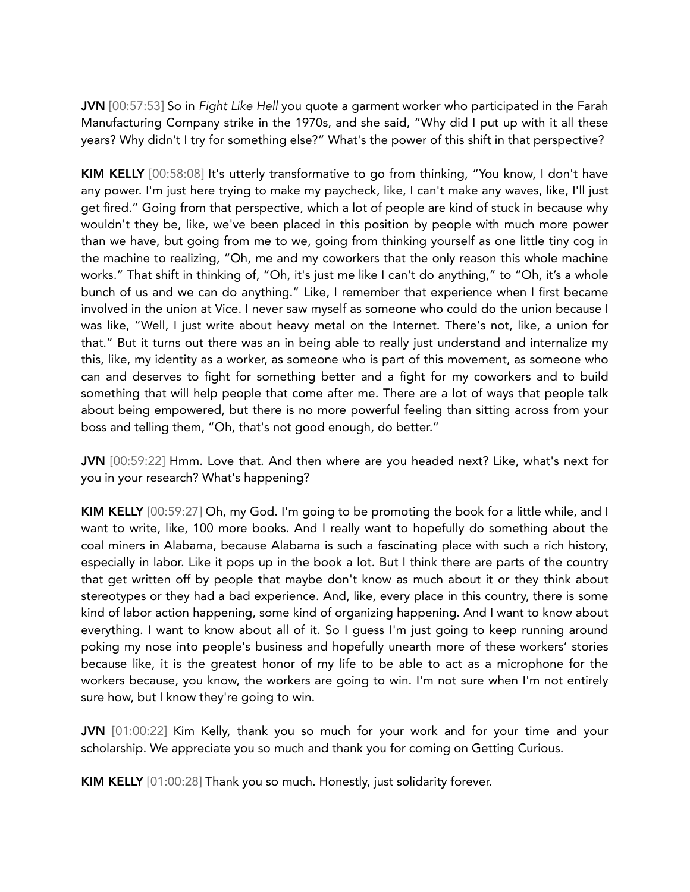JVN [00:57:53] So in *Fight Like Hell* you quote a garment worker who participated in the Farah Manufacturing Company strike in the 1970s, and she said, "Why did I put up with it all these years? Why didn't I try for something else?" What's the power of this shift in that perspective?

KIM KELLY [00:58:08] It's utterly transformative to go from thinking, "You know, I don't have any power. I'm just here trying to make my paycheck, like, I can't make any waves, like, I'll just get fired." Going from that perspective, which a lot of people are kind of stuck in because why wouldn't they be, like, we've been placed in this position by people with much more power than we have, but going from me to we, going from thinking yourself as one little tiny cog in the machine to realizing, "Oh, me and my coworkers that the only reason this whole machine works." That shift in thinking of, "Oh, it's just me like I can't do anything," to "Oh, it's a whole bunch of us and we can do anything." Like, I remember that experience when I first became involved in the union at Vice. I never saw myself as someone who could do the union because I was like, "Well, I just write about heavy metal on the Internet. There's not, like, a union for that." But it turns out there was an in being able to really just understand and internalize my this, like, my identity as a worker, as someone who is part of this movement, as someone who can and deserves to fight for something better and a fight for my coworkers and to build something that will help people that come after me. There are a lot of ways that people talk about being empowered, but there is no more powerful feeling than sitting across from your boss and telling them, "Oh, that's not good enough, do better."

JVN [00:59:22] Hmm. Love that. And then where are you headed next? Like, what's next for you in your research? What's happening?

KIM KELLY [00:59:27] Oh, my God. I'm going to be promoting the book for a little while, and I want to write, like, 100 more books. And I really want to hopefully do something about the coal miners in Alabama, because Alabama is such a fascinating place with such a rich history, especially in labor. Like it pops up in the book a lot. But I think there are parts of the country that get written off by people that maybe don't know as much about it or they think about stereotypes or they had a bad experience. And, like, every place in this country, there is some kind of labor action happening, some kind of organizing happening. And I want to know about everything. I want to know about all of it. So I guess I'm just going to keep running around poking my nose into people's business and hopefully unearth more of these workers' stories because like, it is the greatest honor of my life to be able to act as a microphone for the workers because, you know, the workers are going to win. I'm not sure when I'm not entirely sure how, but I know they're going to win.

JVN [01:00:22] Kim Kelly, thank you so much for your work and for your time and your scholarship. We appreciate you so much and thank you for coming on Getting Curious.

KIM KELLY [01:00:28] Thank you so much. Honestly, just solidarity forever.